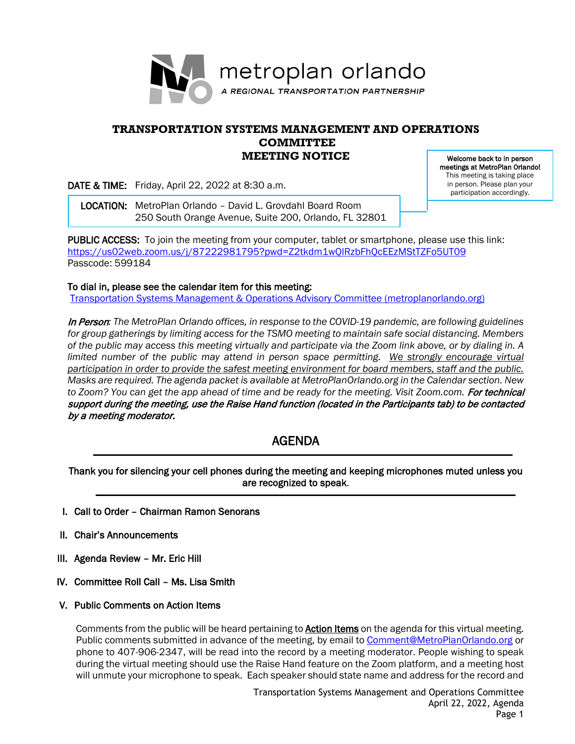

## **TRANSPORTATION SYSTEMS MANAGEMENT AND OPERATIONS COMMITTEE MEETING NOTICE**

DATE & TIME: Friday, April 22, 2022 at 8:30 a.m.

 LOCATION: MetroPlan Orlando – David L. Grovdahl Board Room 250 South Orange Avenue, Suite 200, Orlando, FL 32801

Welcome back to in person meetings at MetroPlan Orlando! This meeting is taking place in person. Please plan your participation accordingly.

PUBLIC ACCESS: To join the meeting from your computer, tablet or smartphone, please use this link: <https://us02web.zoom.us/j/87222981795?pwd=Z2tkdm1wQlRzbFhQcEEzMStTZFo5UT09> Passcode: 599184

To dial in, please see the calendar item for this meeting:

[Transportation Systems Management & Operations Advisory Committee \(metroplanorlando.org\)](https://metroplanorlando.org/meetings/transportation-systems-management-operations-advisory-committee-04-22-22/)

In Person*: The MetroPlan Orlando offices, in response to the COVID-19 pandemic, are following guidelines for group gatherings by limiting access for the TSMO meeting to maintain safe social distancing. Members of the public may access this meeting virtually and participate via the Zoom link above, or by dialing in. A*  limited number of the public may attend in person space permitting. We strongly encourage virtual *participation in order to provide the safest meeting environment for board members, staff and the public. Masks are required. The agenda packet is available at MetroPlanOrlando.org in the Calendar section. New*  to Zoom? You can get the app ahead of time and be ready for the meeting. Visit Zoom.com. For technical support during the meeting, use the Raise Hand function (located in the Participants tab) to be contacted by a meeting moderator.

# AGENDA

Thank you for silencing your cell phones during the meeting and keeping microphones muted unless you are recognized to speak.

- I. Call to Order Chairman Ramon Senorans
- II. Chair's Announcements
- III. Agenda Review Mr. Eric Hill
- IV. Committee Roll Call Ms. Lisa Smith
- V. Public Comments on Action Items

Comments from the public will be heard pertaining to **Action Items** on the agenda for this virtual meeting. Public comments submitted in advance of the meeting, by email to **Comment@MetroPlanOrlando.org** or phone to 407-906-2347, will be read into the record by a meeting moderator. People wishing to speak during the virtual meeting should use the Raise Hand feature on the Zoom platform, and a meeting host will unmute your microphone to speak. Each speaker should state name and address for the record and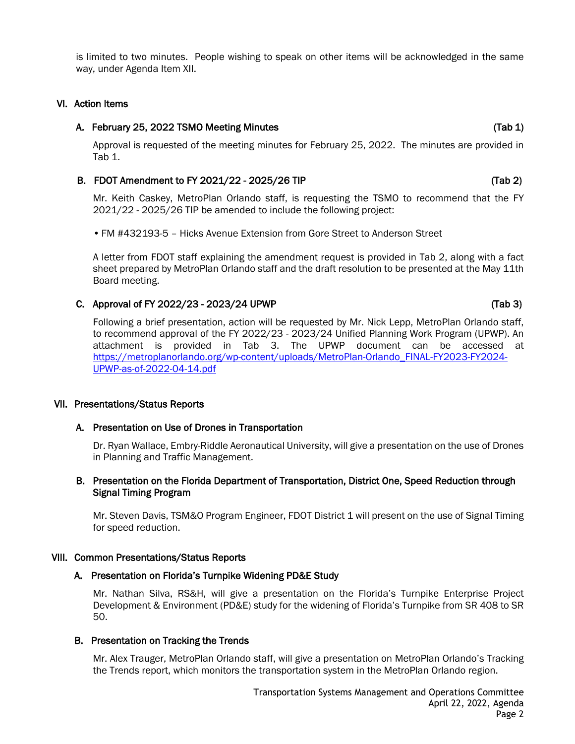is limited to two minutes. People wishing to speak on other items will be acknowledged in the same way, under Agenda Item XII.

### VI. Action Items

### A. February 25, 2022 TSMO Meeting Minutes (Tab 1) (Tab 1)

Approval is requested of the meeting minutes for February 25, 2022. The minutes are provided in Tab 1.

### B. FDOT Amendment to FY 2021/22 - 2025/26 TIP (Tab 2)

Mr. Keith Caskey, MetroPlan Orlando staff, is requesting the TSMO to recommend that the FY 2021/22 - 2025/26 TIP be amended to include the following project:

• FM #432193-5 – Hicks Avenue Extension from Gore Street to Anderson Street

A letter from FDOT staff explaining the amendment request is provided in Tab 2, along with a fact sheet prepared by MetroPlan Orlando staff and the draft resolution to be presented at the May 11th Board meeting.

### C. Approval of FY 2022/23 - 2023/24 UPWP (Tab 3)

Following a brief presentation, action will be requested by Mr. Nick Lepp, MetroPlan Orlando staff, to recommend approval of the FY 2022/23 - 2023/24 Unified Planning Work Program (UPWP). An attachment is provided in Tab 3. The UPWP document can be accessed at [https://metroplanorlando.org/wp-content/uploads/MetroPlan-Orlando\\_FINAL-FY2023-FY2024-](https://metroplanorlando.org/wp-content/uploads/MetroPlan-Orlando_FINAL-FY2023-FY2024-UPWP-as-of-2022-04-14.pdf) [UPWP-as-of-2022-04-14.pdf](https://metroplanorlando.org/wp-content/uploads/MetroPlan-Orlando_FINAL-FY2023-FY2024-UPWP-as-of-2022-04-14.pdf)

### VII. Presentations/Status Reports

### A. Presentation on Use of Drones in Transportation

Dr. Ryan Wallace, Embry-Riddle Aeronautical University, will give a presentation on the use of Drones in Planning and Traffic Management.

### B. Presentation on the Florida Department of Transportation, District One, Speed Reduction through Signal Timing Program

Mr. Steven Davis, TSM&O Program Engineer, FDOT District 1 will present on the use of Signal Timing for speed reduction.

### VIII. Common Presentations/Status Reports

### A. Presentation on Florida's Turnpike Widening PD&E Study

Mr. Nathan Silva, RS&H, will give a presentation on the Florida's Turnpike Enterprise Project Development & Environment (PD&E) study for the widening of Florida's Turnpike from SR 408 to SR 50.

### B. Presentation on Tracking the Trends

Mr. Alex Trauger, MetroPlan Orlando staff, will give a presentation on MetroPlan Orlando's Tracking the Trends report, which monitors the transportation system in the MetroPlan Orlando region.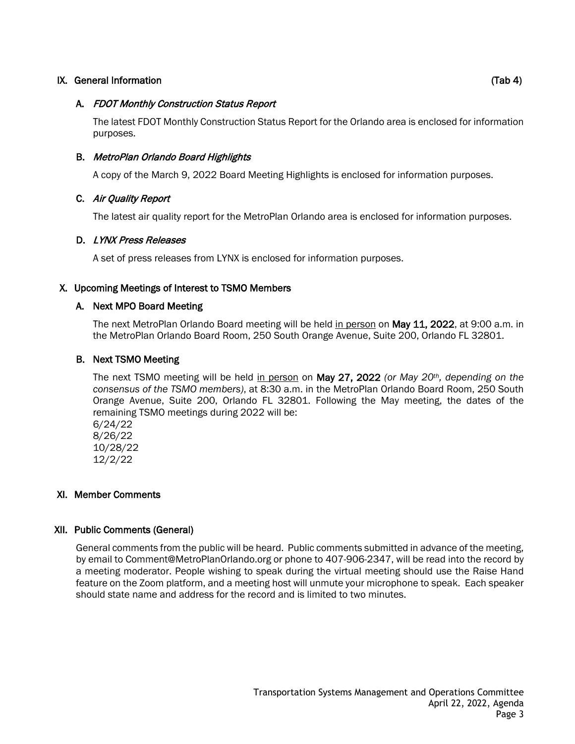## IX. General Information (Tab 4)

## A. FDOT Monthly Construction Status Report

The latest FDOT Monthly Construction Status Report for the Orlando area is enclosed for information purposes.

## B. MetroPlan Orlando Board Highlights

A copy of the March 9, 2022 Board Meeting Highlights is enclosed for information purposes.

## C. Air Quality Report

The latest air quality report for the MetroPlan Orlando area is enclosed for information purposes.

## D. LYNX Press Releases

A set of press releases from LYNX is enclosed for information purposes.

## X. Upcoming Meetings of Interest to TSMO Members

## A. Next MPO Board Meeting

The next MetroPlan Orlando Board meeting will be held in person on May 11, 2022, at 9:00 a.m. in the MetroPlan Orlando Board Room, 250 South Orange Avenue, Suite 200, Orlando FL 32801.

## B. Next TSMO Meeting

The next TSMO meeting will be held in person on May 27, 2022 *(or May 20th, depending on the consensus of the TSMO members)*, at 8:30 a.m. in the MetroPlan Orlando Board Room, 250 South Orange Avenue, Suite 200, Orlando FL 32801. Following the May meeting, the dates of the remaining TSMO meetings during 2022 will be:

6/24/22 8/26/22 10/28/22 12/2/22

## XI. Member Comments

## XII. Public Comments (General)

General comments from the public will be heard. Public comments submitted in advance of the meeting, by email to Comment@MetroPlanOrlando.org or phone to 407-906-2347, will be read into the record by a meeting moderator. People wishing to speak during the virtual meeting should use the Raise Hand feature on the Zoom platform, and a meeting host will unmute your microphone to speak. Each speaker should state name and address for the record and is limited to two minutes.